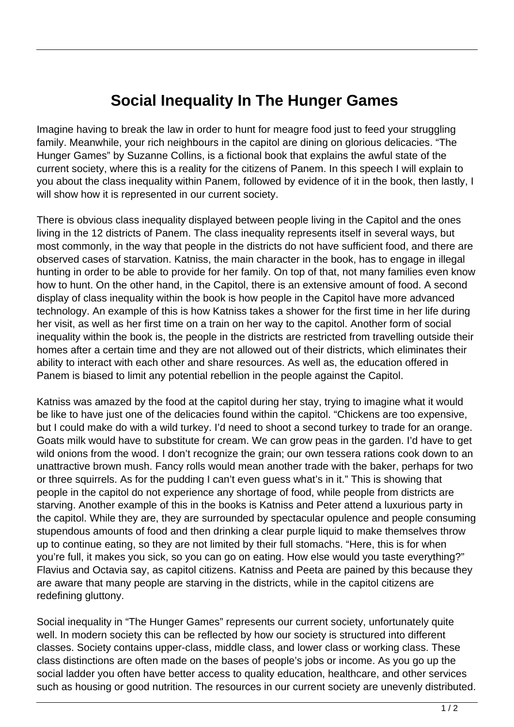## **Social Inequality In The Hunger Games**

Imagine having to break the law in order to hunt for meagre food just to feed your struggling family. Meanwhile, your rich neighbours in the capitol are dining on glorious delicacies. "The Hunger Games" by Suzanne Collins, is a fictional book that explains the awful state of the current society, where this is a reality for the citizens of Panem. In this speech I will explain to you about the class inequality within Panem, followed by evidence of it in the book, then lastly, I will show how it is represented in our current society.

There is obvious class inequality displayed between people living in the Capitol and the ones living in the 12 districts of Panem. The class inequality represents itself in several ways, but most commonly, in the way that people in the districts do not have sufficient food, and there are observed cases of starvation. Katniss, the main character in the book, has to engage in illegal hunting in order to be able to provide for her family. On top of that, not many families even know how to hunt. On the other hand, in the Capitol, there is an extensive amount of food. A second display of class inequality within the book is how people in the Capitol have more advanced technology. An example of this is how Katniss takes a shower for the first time in her life during her visit, as well as her first time on a train on her way to the capitol. Another form of social inequality within the book is, the people in the districts are restricted from travelling outside their homes after a certain time and they are not allowed out of their districts, which eliminates their ability to interact with each other and share resources. As well as, the education offered in Panem is biased to limit any potential rebellion in the people against the Capitol.

Katniss was amazed by the food at the capitol during her stay, trying to imagine what it would be like to have just one of the delicacies found within the capitol. "Chickens are too expensive, but I could make do with a wild turkey. I'd need to shoot a second turkey to trade for an orange. Goats milk would have to substitute for cream. We can grow peas in the garden. I'd have to get wild onions from the wood. I don't recognize the grain; our own tessera rations cook down to an unattractive brown mush. Fancy rolls would mean another trade with the baker, perhaps for two or three squirrels. As for the pudding I can't even guess what's in it." This is showing that people in the capitol do not experience any shortage of food, while people from districts are starving. Another example of this in the books is Katniss and Peter attend a luxurious party in the capitol. While they are, they are surrounded by spectacular opulence and people consuming stupendous amounts of food and then drinking a clear purple liquid to make themselves throw up to continue eating, so they are not limited by their full stomachs. "Here, this is for when you're full, it makes you sick, so you can go on eating. How else would you taste everything?" Flavius and Octavia say, as capitol citizens. Katniss and Peeta are pained by this because they are aware that many people are starving in the districts, while in the capitol citizens are redefining gluttony.

Social inequality in "The Hunger Games" represents our current society, unfortunately quite well. In modern society this can be reflected by how our society is structured into different classes. Society contains upper-class, middle class, and lower class or working class. These class distinctions are often made on the bases of people's jobs or income. As you go up the social ladder you often have better access to quality education, healthcare, and other services such as housing or good nutrition. The resources in our current society are unevenly distributed.